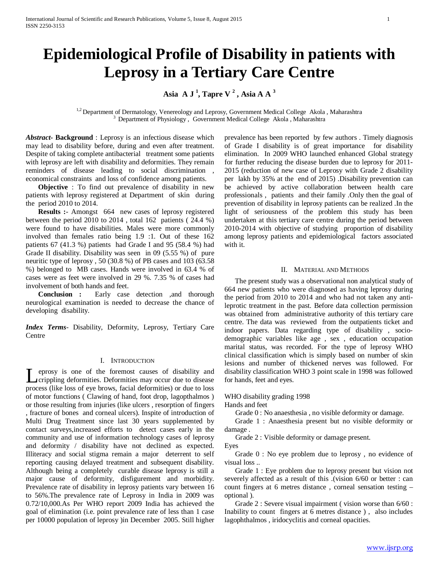# **Epidemiological Profile of Disability in patients with Leprosy in a Tertiary Care Centre**

**Asia A J <sup>1</sup> , Tapre V <sup>2</sup> , Asia A A <sup>3</sup>**

<sup>1,2</sup> Department of Dermatology, Venereology and Leprosy, Government Medical College Akola , Maharashtra  $3$  Department of Physiology , Government Medical College Akola , Maharashtra

*Abstract***- Background** : Leprosy is an infectious disease which may lead to disability before, during and even after treatment. Despite of taking complete antibacterial treatment some patients with leprosy are left with disability and deformities. They remain reminders of disease leading to social discrimination , economical constraints and loss of confidence among patients.

 **Objective** : To find out prevalence of disability in new patients with leprosy registered at Department of skin during the period 2010 to 2014.

 **Results :**- Amongst 664 new cases of leprosy registered between the period 2010 to 2014 , total 162 patients ( 24.4 %) were found to have disabilities. Males were more commonly involved than females ratio being 1.9 :1. Out of these 162 patients 67 (41.3 %) patients had Grade I and 95 (58.4 %) had Grade II disability. Disability was seen in 09 (5.55 %) of pure neuritic type of leprosy , 50 (30.8 %) of PB cases and 103 (63.58 %) belonged to MB cases. Hands were involved in 63.4 % of cases were as feet were involved in 29 %. 7.35 % of cases had involvement of both hands and feet.

 **Conclusion :** Early case detection ,and thorough neurological examination is needed to decrease the chance of developing disability.

*Index Terms*- Disability, Deformity, Leprosy, Tertiary Care **Centre** 

# I. INTRODUCTION

eprosy is one of the foremost causes of disability and **Leaple Strate Strate Strate Strate Strate Strate Strate Strate Strate Strate Strate Strate Strate Strate Strate Strate Strate Strate Strate Strate Strate Strategy August 2016 (Strategy August 2016)** process (like loss of eye brows, facial deformities) or due to loss of motor functions ( Clawing of hand, foot drop, lagopthalmos ) or those resulting from injuries (like ulcers , resorption of fingers , fracture of bones and corneal ulcers). Inspite of introduction of Multi Drug Treatment since last 30 years supplemented by contact surveys,increased efforts to detect cases early in the community and use of information technology cases of leprosy and deformity / disability have not declined as expected. Illiteracy and social stigma remain a major deterrent to self reporting causing delayed treatment and subsequent disability. Although being a completely curable disease leprosy is still a major cause of deformity, disfigurement and morbidity. Prevalence rate of disability in leprosy patients vary between 16 to 56%.The prevalence rate of Leprosy in India in 2009 was 0.72/10,000.As Per WHO report 2009 India has achieved the goal of elimination (i.e. point prevalence rate of less than 1 case per 10000 population of leprosy )in December 2005. Still higher

prevalence has been reported by few authors . Timely diagnosis of Grade I disability is of great importance for disability elimination. In 2009 WHO launched enhanced Global strategy for further reducing the disease burden due to leprosy for 2011- 2015 (reduction of new case of Leprosy with Grade 2 disability per lakh by 35% at the end of 2015) .Disability prevention can be achieved by active collaboration between health care professionals , patients and their family .Only then the goal of prevention of disability in leprosy patients can be realized .In the light of seriousness of the problem this study has been undertaken at this tertiary care centre during the period between 2010-2014 with objective of studying proportion of disability among leprosy patients and epidemiological factors associated with it.

# II. MATERIAL AND METHODS

 The present study was a observational non analytical study of 664 new patients who were diagnosed as having leprosy during the period from 2010 to 2014 and who had not taken any antileprotic treatment in the past. Before data collection permission was obtained from administrative authority of this tertiary care centre. The data was reviewed from the outpatients ticket and indoor papers. Data regarding type of disability , sociodemographic variables like age , sex , education occupation marital status, was recorded. For the type of leprosy WHO clinical classification which is simply based on number of skin lesions and number of thickened nerves was followed. For disability classification WHO 3 point scale in 1998 was followed for hands, feet and eyes.

# WHO disability grading 1998

Hands and feet

Grade 0 : No anaesthesia , no visible deformity or damage.

 Grade 1 : Anaesthesia present but no visible deformity or damage .

Grade 2 : Visible deformity or damage present.

Eyes

 Grade 0 : No eye problem due to leprosy , no evidence of visual loss ..

 Grade 1 : Eye problem due to leprosy present but vision not severely affected as a result of this .(vision 6/60 or better : can count fingers at 6 metres distance , corneal sensation testing – optional ).

 Grade 2 : Severe visual impairment ( vision worse than 6/60 : Inability to count fingers at 6 metres distance ) , also includes lagophthalmos , iridocyclitis and corneal opacities.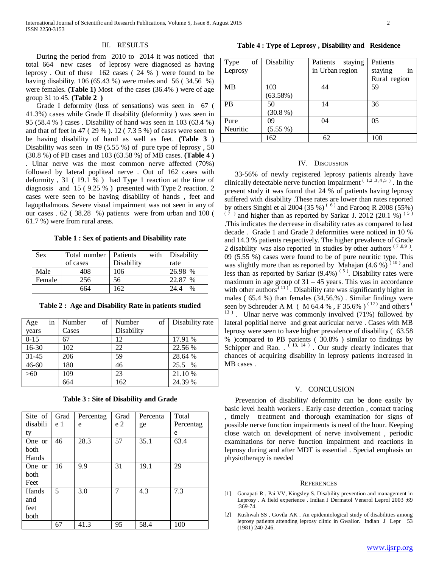# III. RESULTS

 During the period from 2010 to 2014 it was noticed that total 664 new cases of leprosy were diagnosed as having leprosy . Out of these 162 cases ( 24 % ) were found to be having disability. 106 (65.43 %) were males and 56 (34.56 %) were females. **(Table 1)** Most of the cases (36.4% ) were of age group 31 to 45. **(Table 2 )**

 Grade I deformity (loss of sensations) was seen in 67 ( 41.3%) cases while Grade II disability (deformity ) was seen in 95 (58.4 % ) cases . Disability of hand was seen in 103 (63.4 %) and that of feet in 47 ( 29 % ). 12 ( 7.3 5 %) of cases were seen to be having disability of hand as well as feet. **(Table 3 )** Disability was seen in 09 (5.55 %) of pure type of leprosy, 50 (30.8 %) of PB cases and 103 (63.58 %) of MB cases. **(Table 4 )** . Ulnar nerve was the most common nerve affected (70%) followed by lateral popliteal nerve . Out of 162 cases with deformity , 31 ( 19.1 % ) had Type 1 reaction at the time of diagnosis and 15 ( 9.25 % ) presented with Type 2 reaction. 2 cases were seen to be having disability of hands , feet and lagopthalmous. Severe visual impairment was not seen in any of our cases . 62 ( 38.28 %) patients were from urban and 100 ( 61.7 %) were from rural areas.

**Table 1 : Sex of patients and Disability rate**

| Sex    | Total number | with<br>Patients | Disability    |
|--------|--------------|------------------|---------------|
|        | of cases     | Disability       | rate          |
| Male   | 408          | 106              | 26.98 %       |
| Female | 256          | 56               | 22.87<br>$\%$ |
|        | 664          | 162              | $\%$<br>24 A  |

**Table 2 : Age and Disability Rate in patients studied**

| Age       | in | Number | of | Number     | of | Disability rate |
|-----------|----|--------|----|------------|----|-----------------|
| years     |    | Cases  |    | Disability |    |                 |
| $0 - 15$  |    | 67     |    | 12         |    | 17.91 %         |
| 16-30     |    | 102    |    | 22         |    | 22.56 %         |
| $31 - 45$ |    | 206    |    | 59         |    | 28.64 %         |
| $46 - 60$ |    | 180    |    | 46         |    | 25.5 %          |
| $>60$     |    | 109    |    | 23         |    | 21.10 %         |
|           |    | 664    |    | 162        |    | 24.39 %         |

**Table 3 : Site of Disability and Grade**

| Site of I | Grad | Percentag | Grad           | Percenta | Total     |
|-----------|------|-----------|----------------|----------|-----------|
| disabili  | e 1  | e         | e <sub>2</sub> | ge       | Percentag |
| ty        |      |           |                |          | e         |
| One or    | 46   | 28.3      | 57             | 35.1     | 63.4      |
| both      |      |           |                |          |           |
| Hands     |      |           |                |          |           |
| One or    | 16   | 9.9       | 31             | 19.1     | 29        |
| both      |      |           |                |          |           |
| Feet      |      |           |                |          |           |
| Hands     | 5    | 3.0       | 7              | 4.3      | 7.3       |
| and       |      |           |                |          |           |
| feet      |      |           |                |          |           |
| both      |      |           |                |          |           |
|           | 67   | 41.3      | 95             | 58.4     | 100       |

**Table 4 : Type of Leprosy , Disability and Residence**

| $of \mid$<br>Type | Disability | Patients<br>staying | Patients       |
|-------------------|------------|---------------------|----------------|
| Leprosy           |            | in Urban region     | staying<br>in  |
|                   |            |                     | Rural region   |
| <b>MB</b>         | 103        | 44                  | 59             |
|                   | (63.58%)   |                     |                |
| <b>PB</b>         | 50         | 14                  | 36             |
|                   | (30.8 %)   |                     |                |
| Pure              | 09         | 04                  | 0 <sub>5</sub> |
| Neuritic          | $(5.55\%)$ |                     |                |
|                   | 162        | 62                  | 100            |

#### IV. DISCUSSION

 33-56% of newly registered leprosy patients already have clinically detectable nerve function impairment  $(1,2,3,4,5)$ . In the present study it was found that 24 % of patients having leprosy suffered with disability .These rates are lower than rates reported by others Singhi et al 2004 (35 %)<sup>(6)</sup> and Farooq R 2008 (55%) ) and higher than as reported by Sarkar J. 2012 (20.1 %)  $(5)$ .This indicates the decrease in disability rates as compared to last decade . Grade 1 and Grade 2 deformities were noticed in 10 % and 14.3 % patients respectively. The higher prevalence of Grade 2 disability was also reported in studies by other authors  $(7,8,9)$ . 09 (5.55 %) cases were found to be of pure neuritic type. This was slightly more than as reported by Mahajan  $(4.6\%)$ <sup>(10)</sup> and less than as reported by Sarkar  $(9.4\%)$ <sup>(5)</sup>. Disability rates were maximum in age group of  $31 - 45$  years. This was in accordance with other authors<sup> $(11)$ </sup>. Disability rate was significantly higher in males ( 65.4 %) than females (34.56.%) . Similar findings were seen by Schreuder A M ( M 64.4 %, F 35.6%)<sup>(12)</sup> and others<sup>(12)</sup> <sup>13</sup>). Ulnar nerve was commonly involved (71%) followed by lateral poplitial nerve and great auricular nerve . Cases with MB leprosy were seen to have higher prevalence of disability ( 63.58 % )compared to PB patients ( 30.8% ) similar to findings by Schipper and Rao.  $(13, 14)$ . Our study clearly indicates that chances of acquiring disability in leprosy patients increased in MB cases .

### V. CONCLUSION

 Prevention of disability/ deformity can be done easily by basic level health workers . Early case detection , contact tracing , timely treatment and thorough examination for signs of possible nerve function impairments is need of the hour. Keeping close watch on development of nerve involvement , periodic examinations for nerve function impairment and reactions in leprosy during and after MDT is essential . Special emphasis on physiotherapy is needed

#### **REFERENCES**

- [1] Ganapati R , Pai VV, Kingsley S. Disability prevention and management in Leprosy . A field experience . Indian J Dermatol Venerol Leprol 2003 ;69 :369-74.
- [2] Kushwah SS , Govila AK . An epidemiological study of disabilities among leprosy patients attending leprosy clinic in Gwalior. Indian J Lepr 53 (1981) 240-246.